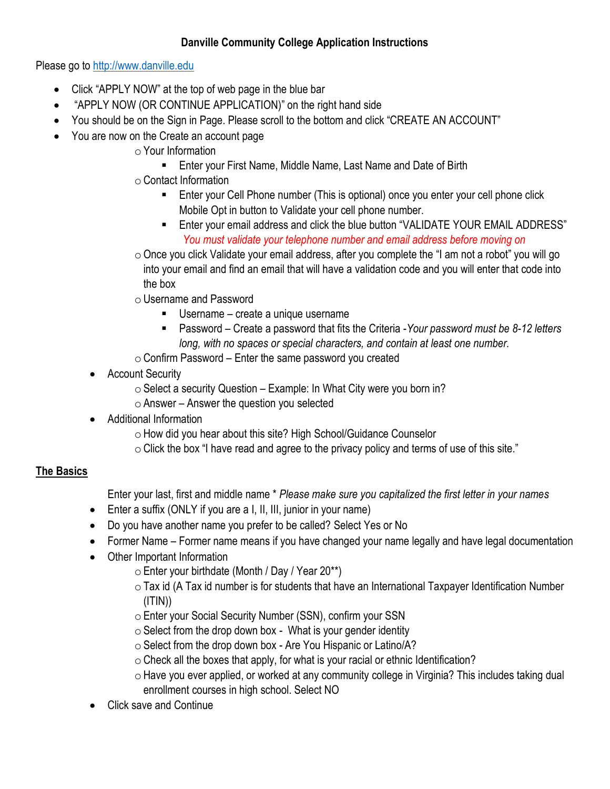### **Danville Community College Application Instructions**

Please go to [http://www.danville.edu](http://www.danville.edu/)

- Click "APPLY NOW" at the top of web page in the blue bar
- "APPLY NOW (OR CONTINUE APPLICATION)" on the right hand side
- You should be on the Sign in Page. Please scroll to the bottom and click "CREATE AN ACCOUNT"
- You are now on the Create an account page
	- $\circ$  Your Information
		- **Enter your First Name, Middle Name, Last Name and Date of Birth**
	- oContact Information
		- Enter your Cell Phone number (This is optional) once you enter your cell phone click Mobile Opt in button to Validate your cell phone number.
		- Enter your email address and click the blue button "VALIDATE YOUR EMAIL ADDRESS" *You must validate your telephone number and email address before moving on*
	- $\circ$  Once you click Validate your email address, after you complete the "I am not a robot" you will go into your email and find an email that will have a validation code and you will enter that code into the box
	- oUsername and Password
		- Username create a unique username
		- Password Create a password that fits the Criteria -*Your password must be 8-12 letters long, with no spaces or special characters, and contain at least one number.*
	- $\circ$  Confirm Password Enter the same password you created
	- Account Security
		- $\circ$  Select a security Question Example: In What City were you born in?
		- $\circ$  Answer Answer the question you selected
	- Additional Information
		- $\circ$  How did you hear about this site? High School/Guidance Counselor
		- $\circ$  Click the box "I have read and agree to the privacy policy and terms of use of this site."

## **The Basics**

Enter your last, first and middle name \* *Please make sure you capitalized the first letter in your names*

- Enter a suffix (ONLY if you are a I, II, III, junior in your name)
- Do you have another name you prefer to be called? Select Yes or No
- Former Name Former name means if you have changed your name legally and have legal documentation
- Other Important Information
	- $\circ$  Enter your birthdate (Month / Day / Year 20\*\*)
	- $\circ$  Tax id (A Tax id number is for students that have an International Taxpayer Identification Number (ITIN))
	- oEnter your Social Security Number (SSN), confirm your SSN
	- $\circ$  Select from the drop down box What is your gender identity
	- $\circ$  Select from the drop down box Are You Hispanic or Latino/A?
	- $\circ$  Check all the boxes that apply, for what is your racial or ethnic Identification?
	- $\circ$  Have you ever applied, or worked at any community college in Virginia? This includes taking dual enrollment courses in high school. Select NO
- Click save and Continue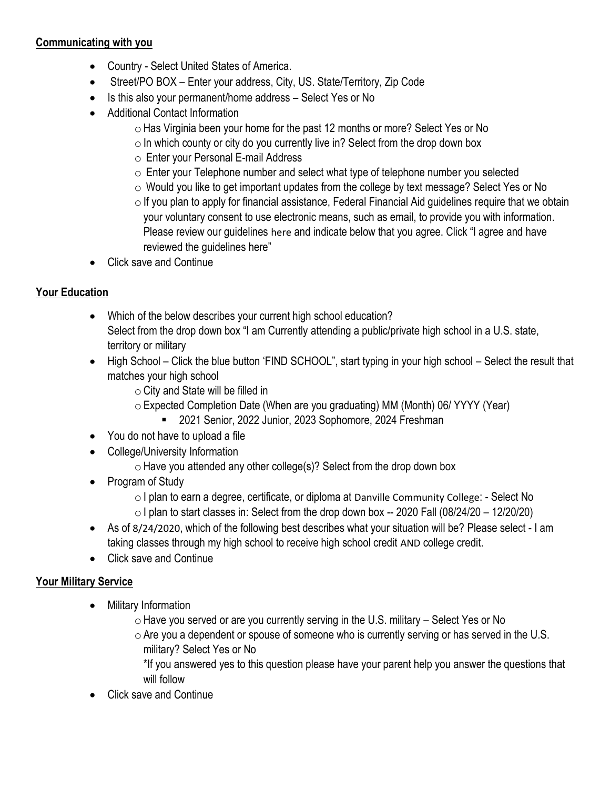#### **Communicating with you**

- Country Select United States of America.
- Street/PO BOX Enter your address, City, US. State/Territory, Zip Code
- Is this also your permanent/home address Select Yes or No
- Additional Contact Information
	- $\circ$  Has Virginia been your home for the past 12 months or more? Select Yes or No
	- $\circ$  In which county or city do you currently live in? Select from the drop down box
	- o Enter your Personal E-mail Address
	- o Enter your Telephone number and select what type of telephone number you selected
	- o Would you like to get important updates from the college by text message? Select Yes or No
	- $\circ$  If you plan to apply for financial assistance, Federal Financial Aid guidelines require that we obtain your voluntary consent to use electronic means, such as email, to provide you with information. Please review our guidelines [here](https://control.apply.vccs.edu/applications/VCCS/VCCS2.asp?r=1&ac=14456#modalFinancialAid) and indicate below that you agree. Click "I agree and have reviewed the guidelines here"
- Click save and Continue

# **Your Education**

- Which of the below describes your current high school education? Select from the drop down box "I am Currently attending a public/private high school in a U.S. state, territory or military
- High School Click the blue button 'FIND SCHOOL", start typing in your high school Select the result that matches your high school
	- $\circ$  City and State will be filled in
	- oExpected Completion Date (When are you graduating) MM (Month) 06/ YYYY (Year)
		- 2021 Senior, 2022 Junior, 2023 Sophomore, 2024 Freshman
- You do not have to upload a file
- College/University Information
	- $\circ$  Have you attended any other college(s)? Select from the drop down box
- Program of Study
	- o I plan to earn a degree, certificate, or diploma at Danville Community College: Select No
	- $\circ$  I plan to start classes in: Select from the drop down box -- 2020 Fall (08/24/20 12/20/20)
- As of 8/24/2020, which of the following best describes what your situation will be? Please select I am taking classes through my high school to receive high school credit AND college credit.
- Click save and Continue

# **Your Military Service**

- Military Information
	- $\circ$  Have you served or are you currently serving in the U.S. military Select Yes or No
	- $\circ$  Are you a dependent or spouse of someone who is currently serving or has served in the U.S. military? Select Yes or No

\*If you answered yes to this question please have your parent help you answer the questions that will follow

Click save and Continue